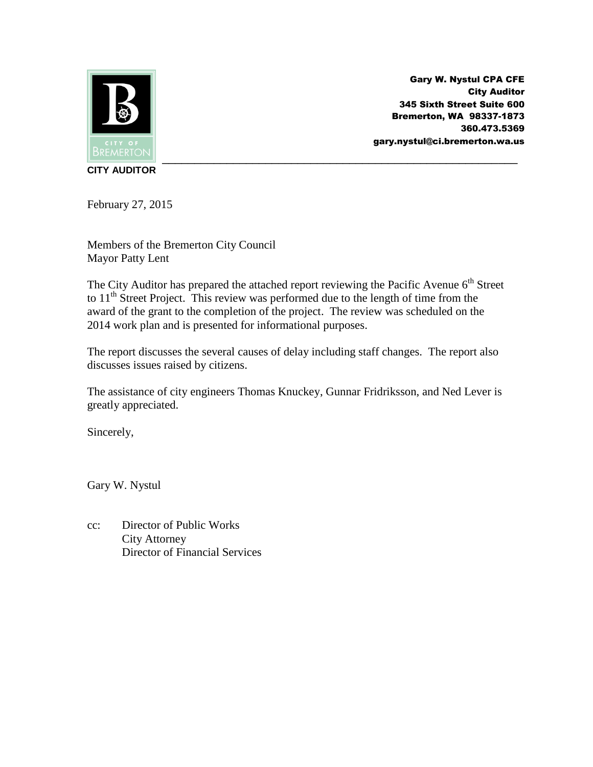

Gary W. Nystul CPA CFE City Auditor 345 Sixth Street Suite 600 Bremerton, WA 98337-1873 360.473.5369 gary.nystul@ci.bremerton.wa.us

**CITY AUDITOR**

February 27, 2015

Members of the Bremerton City Council Mayor Patty Lent

The City Auditor has prepared the attached report reviewing the Pacific Avenue  $6<sup>th</sup>$  Street to  $11<sup>th</sup>$  Street Project. This review was performed due to the length of time from the award of the grant to the completion of the project. The review was scheduled on the 2014 work plan and is presented for informational purposes.

The report discusses the several causes of delay including staff changes. The report also discusses issues raised by citizens.

The assistance of city engineers Thomas Knuckey, Gunnar Fridriksson, and Ned Lever is greatly appreciated.

Sincerely,

Gary W. Nystul

cc: Director of Public Works City Attorney Director of Financial Services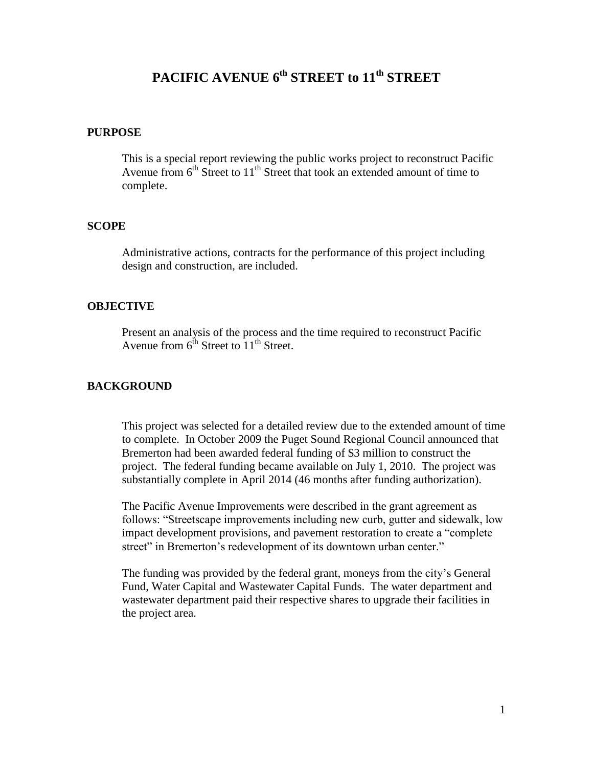# **PACIFIC AVENUE 6 th STREET to 11th STREET**

### **PURPOSE**

This is a special report reviewing the public works project to reconstruct Pacific Avenue from  $6<sup>th</sup>$  Street to  $11<sup>th</sup>$  Street that took an extended amount of time to complete.

## **SCOPE**

Administrative actions, contracts for the performance of this project including design and construction, are included.

# **OBJECTIVE**

Present an analysis of the process and the time required to reconstruct Pacific Avenue from  $6^{th}$  Street to  $11^{th}$  Street.

# **BACKGROUND**

This project was selected for a detailed review due to the extended amount of time to complete. In October 2009 the Puget Sound Regional Council announced that Bremerton had been awarded federal funding of \$3 million to construct the project. The federal funding became available on July 1, 2010. The project was substantially complete in April 2014 (46 months after funding authorization).

The Pacific Avenue Improvements were described in the grant agreement as follows: "Streetscape improvements including new curb, gutter and sidewalk, low impact development provisions, and pavement restoration to create a "complete street" in Bremerton's redevelopment of its downtown urban center."

The funding was provided by the federal grant, moneys from the city's General Fund, Water Capital and Wastewater Capital Funds. The water department and wastewater department paid their respective shares to upgrade their facilities in the project area.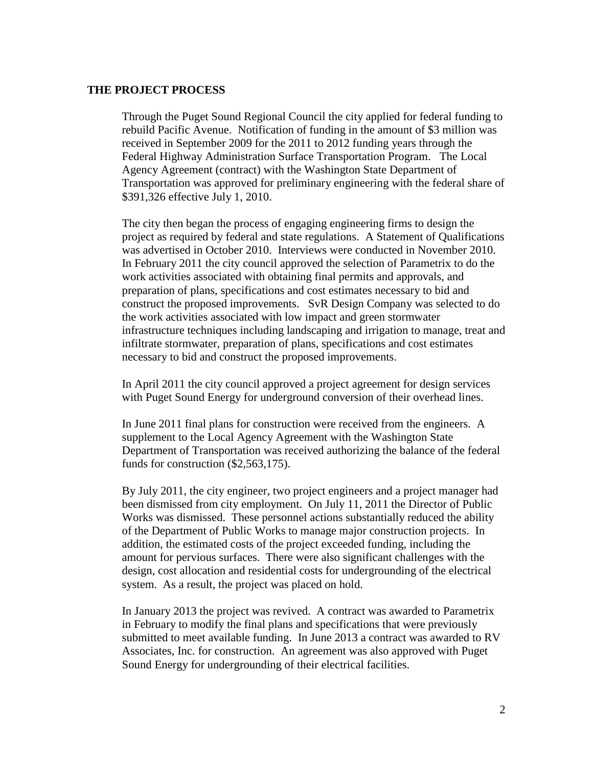## **THE PROJECT PROCESS**

Through the Puget Sound Regional Council the city applied for federal funding to rebuild Pacific Avenue. Notification of funding in the amount of \$3 million was received in September 2009 for the 2011 to 2012 funding years through the Federal Highway Administration Surface Transportation Program. The Local Agency Agreement (contract) with the Washington State Department of Transportation was approved for preliminary engineering with the federal share of \$391,326 effective July 1, 2010.

The city then began the process of engaging engineering firms to design the project as required by federal and state regulations. A Statement of Qualifications was advertised in October 2010. Interviews were conducted in November 2010. In February 2011 the city council approved the selection of Parametrix to do the work activities associated with obtaining final permits and approvals, and preparation of plans, specifications and cost estimates necessary to bid and construct the proposed improvements. SvR Design Company was selected to do the work activities associated with low impact and green stormwater infrastructure techniques including landscaping and irrigation to manage, treat and infiltrate stormwater, preparation of plans, specifications and cost estimates necessary to bid and construct the proposed improvements.

In April 2011 the city council approved a project agreement for design services with Puget Sound Energy for underground conversion of their overhead lines.

In June 2011 final plans for construction were received from the engineers. A supplement to the Local Agency Agreement with the Washington State Department of Transportation was received authorizing the balance of the federal funds for construction (\$2,563,175).

By July 2011, the city engineer, two project engineers and a project manager had been dismissed from city employment. On July 11, 2011 the Director of Public Works was dismissed. These personnel actions substantially reduced the ability of the Department of Public Works to manage major construction projects. In addition, the estimated costs of the project exceeded funding, including the amount for pervious surfaces. There were also significant challenges with the design, cost allocation and residential costs for undergrounding of the electrical system. As a result, the project was placed on hold.

In January 2013 the project was revived. A contract was awarded to Parametrix in February to modify the final plans and specifications that were previously submitted to meet available funding. In June 2013 a contract was awarded to RV Associates, Inc. for construction. An agreement was also approved with Puget Sound Energy for undergrounding of their electrical facilities.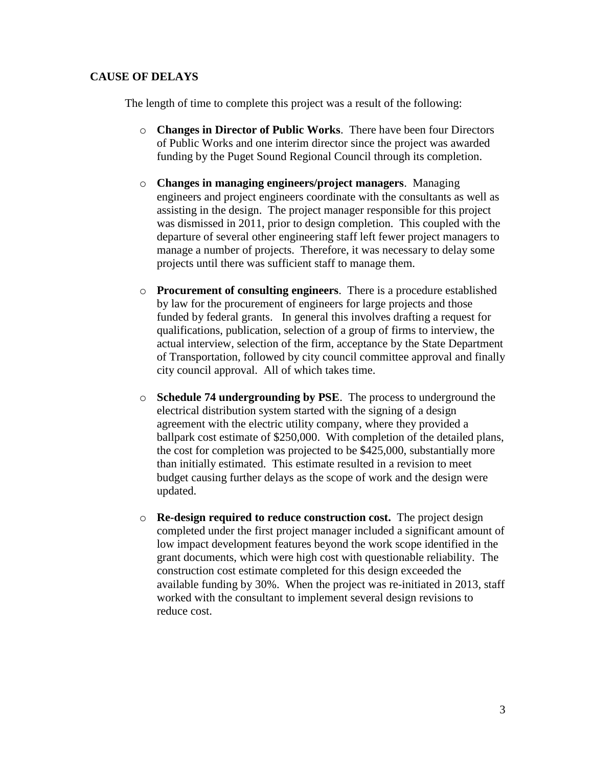# **CAUSE OF DELAYS**

The length of time to complete this project was a result of the following:

- o **Changes in Director of Public Works**. There have been four Directors of Public Works and one interim director since the project was awarded funding by the Puget Sound Regional Council through its completion.
- o **Changes in managing engineers/project managers**. Managing engineers and project engineers coordinate with the consultants as well as assisting in the design. The project manager responsible for this project was dismissed in 2011, prior to design completion. This coupled with the departure of several other engineering staff left fewer project managers to manage a number of projects. Therefore, it was necessary to delay some projects until there was sufficient staff to manage them.
- o **Procurement of consulting engineers**. There is a procedure established by law for the procurement of engineers for large projects and those funded by federal grants. In general this involves drafting a request for qualifications, publication, selection of a group of firms to interview, the actual interview, selection of the firm, acceptance by the State Department of Transportation, followed by city council committee approval and finally city council approval. All of which takes time.
- o **Schedule 74 undergrounding by PSE**. The process to underground the electrical distribution system started with the signing of a design agreement with the electric utility company, where they provided a ballpark cost estimate of \$250,000. With completion of the detailed plans, the cost for completion was projected to be \$425,000, substantially more than initially estimated. This estimate resulted in a revision to meet budget causing further delays as the scope of work and the design were updated.
- o **Re-design required to reduce construction cost.** The project design completed under the first project manager included a significant amount of low impact development features beyond the work scope identified in the grant documents, which were high cost with questionable reliability. The construction cost estimate completed for this design exceeded the available funding by 30%. When the project was re-initiated in 2013, staff worked with the consultant to implement several design revisions to reduce cost.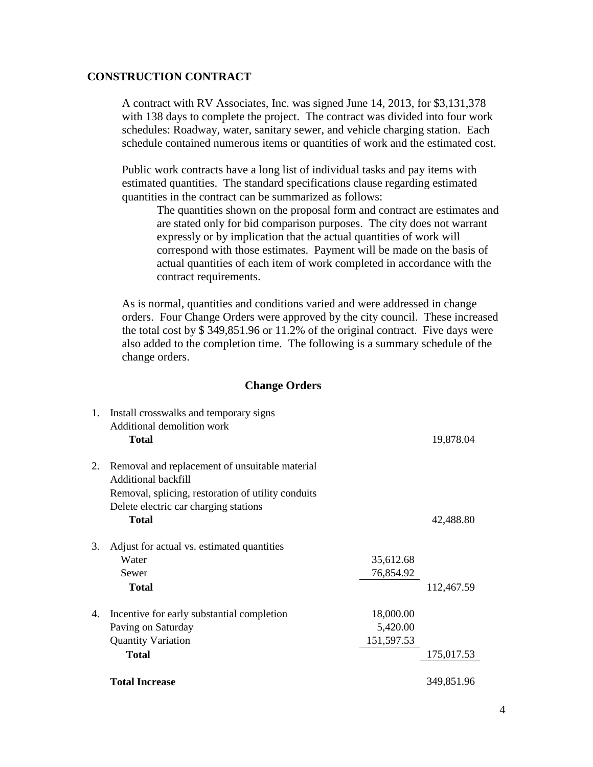# **CONSTRUCTION CONTRACT**

A contract with RV Associates, Inc. was signed June 14, 2013, for \$3,131,378 with 138 days to complete the project. The contract was divided into four work schedules: Roadway, water, sanitary sewer, and vehicle charging station. Each schedule contained numerous items or quantities of work and the estimated cost.

Public work contracts have a long list of individual tasks and pay items with estimated quantities. The standard specifications clause regarding estimated quantities in the contract can be summarized as follows:

The quantities shown on the proposal form and contract are estimates and are stated only for bid comparison purposes. The city does not warrant expressly or by implication that the actual quantities of work will correspond with those estimates. Payment will be made on the basis of actual quantities of each item of work completed in accordance with the contract requirements.

As is normal, quantities and conditions varied and were addressed in change orders. Four Change Orders were approved by the city council. These increased the total cost by \$ 349,851.96 or 11.2% of the original contract. Five days were also added to the completion time. The following is a summary schedule of the change orders.

## **Change Orders**

|    | <b>Total Increase</b>                              |            | 349,851.96 |
|----|----------------------------------------------------|------------|------------|
|    | Total                                              |            | 175,017.53 |
|    | <b>Quantity Variation</b>                          | 151,597.53 |            |
|    | Paving on Saturday                                 | 5,420.00   |            |
| 4. | Incentive for early substantial completion         | 18,000.00  |            |
|    | <b>Total</b>                                       |            | 112,467.59 |
|    | Sewer                                              | 76,854.92  |            |
|    | Water                                              | 35,612.68  |            |
| 3. | Adjust for actual vs. estimated quantities         |            |            |
|    | <b>Total</b>                                       |            | 42,488.80  |
|    | Delete electric car charging stations              |            |            |
|    | Removal, splicing, restoration of utility conduits |            |            |
|    | Additional backfill                                |            |            |
| 2. | Removal and replacement of unsuitable material     |            |            |
|    | <b>Total</b>                                       |            | 19,878.04  |
|    | Additional demolition work                         |            |            |
| 1. | Install crosswalks and temporary signs             |            |            |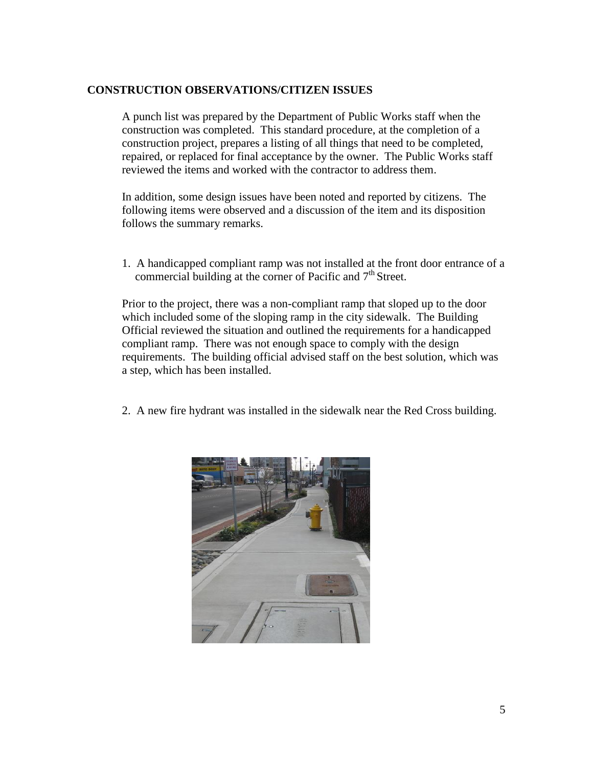# **CONSTRUCTION OBSERVATIONS/CITIZEN ISSUES**

A punch list was prepared by the Department of Public Works staff when the construction was completed. This standard procedure, at the completion of a construction project, prepares a listing of all things that need to be completed, repaired, or replaced for final acceptance by the owner. The Public Works staff reviewed the items and worked with the contractor to address them.

In addition, some design issues have been noted and reported by citizens. The following items were observed and a discussion of the item and its disposition follows the summary remarks.

1. A handicapped compliant ramp was not installed at the front door entrance of a commercial building at the corner of Pacific and  $7<sup>th</sup>$  Street.

Prior to the project, there was a non-compliant ramp that sloped up to the door which included some of the sloping ramp in the city sidewalk. The Building Official reviewed the situation and outlined the requirements for a handicapped compliant ramp. There was not enough space to comply with the design requirements. The building official advised staff on the best solution, which was a step, which has been installed.

2. A new fire hydrant was installed in the sidewalk near the Red Cross building.

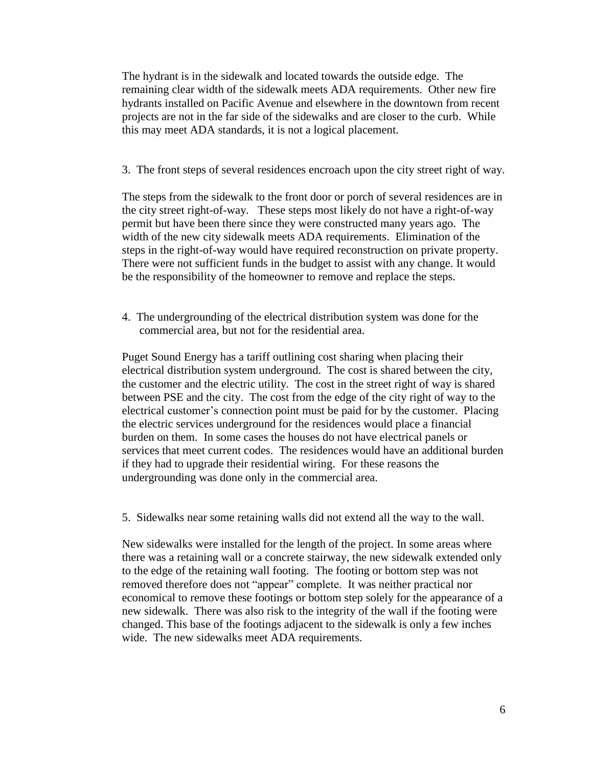The hydrant is in the sidewalk and located towards the outside edge. The remaining clear width of the sidewalk meets ADA requirements. Other new fire hydrants installed on Pacific Avenue and elsewhere in the downtown from recent projects are not in the far side of the sidewalks and are closer to the curb. While this may meet ADA standards, it is not a logical placement.

3. The front steps of several residences encroach upon the city street right of way.

The steps from the sidewalk to the front door or porch of several residences are in the city street right-of-way. These steps most likely do not have a right-of-way permit but have been there since they were constructed many years ago. The width of the new city sidewalk meets ADA requirements. Elimination of the steps in the right-of-way would have required reconstruction on private property. There were not sufficient funds in the budget to assist with any change. It would be the responsibility of the homeowner to remove and replace the steps.

4. The undergrounding of the electrical distribution system was done for the commercial area, but not for the residential area.

Puget Sound Energy has a tariff outlining cost sharing when placing their electrical distribution system underground. The cost is shared between the city, the customer and the electric utility. The cost in the street right of way is shared between PSE and the city. The cost from the edge of the city right of way to the electrical customer's connection point must be paid for by the customer. Placing the electric services underground for the residences would place a financial burden on them. In some cases the houses do not have electrical panels or services that meet current codes. The residences would have an additional burden if they had to upgrade their residential wiring. For these reasons the undergrounding was done only in the commercial area.

5. Sidewalks near some retaining walls did not extend all the way to the wall.

New sidewalks were installed for the length of the project. In some areas where there was a retaining wall or a concrete stairway, the new sidewalk extended only to the edge of the retaining wall footing. The footing or bottom step was not removed therefore does not "appear" complete. It was neither practical nor economical to remove these footings or bottom step solely for the appearance of a new sidewalk. There was also risk to the integrity of the wall if the footing were changed. This base of the footings adjacent to the sidewalk is only a few inches wide. The new sidewalks meet ADA requirements.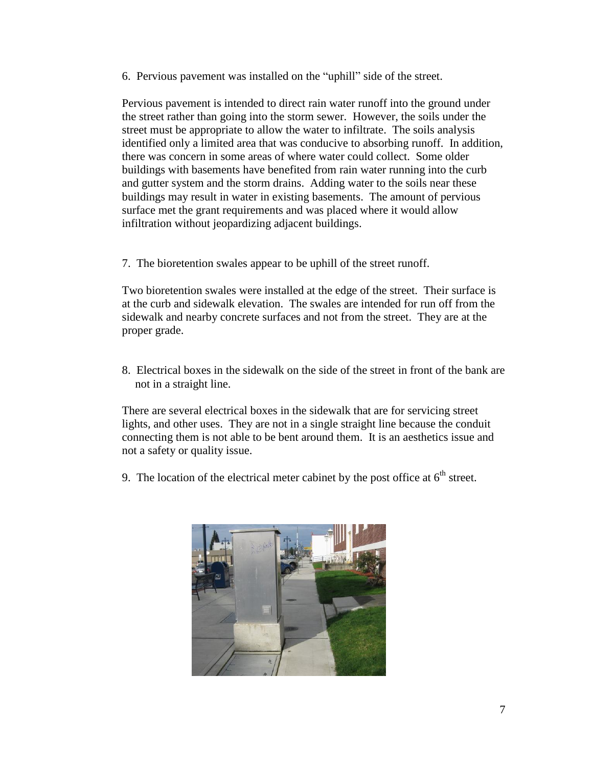6. Pervious pavement was installed on the "uphill" side of the street.

Pervious pavement is intended to direct rain water runoff into the ground under the street rather than going into the storm sewer. However, the soils under the street must be appropriate to allow the water to infiltrate. The soils analysis identified only a limited area that was conducive to absorbing runoff. In addition, there was concern in some areas of where water could collect. Some older buildings with basements have benefited from rain water running into the curb and gutter system and the storm drains. Adding water to the soils near these buildings may result in water in existing basements. The amount of pervious surface met the grant requirements and was placed where it would allow infiltration without jeopardizing adjacent buildings.

7. The bioretention swales appear to be uphill of the street runoff.

Two bioretention swales were installed at the edge of the street. Their surface is at the curb and sidewalk elevation. The swales are intended for run off from the sidewalk and nearby concrete surfaces and not from the street. They are at the proper grade.

8. Electrical boxes in the sidewalk on the side of the street in front of the bank are not in a straight line.

There are several electrical boxes in the sidewalk that are for servicing street lights, and other uses. They are not in a single straight line because the conduit connecting them is not able to be bent around them. It is an aesthetics issue and not a safety or quality issue.

9. The location of the electrical meter cabinet by the post office at  $6<sup>th</sup>$  street.

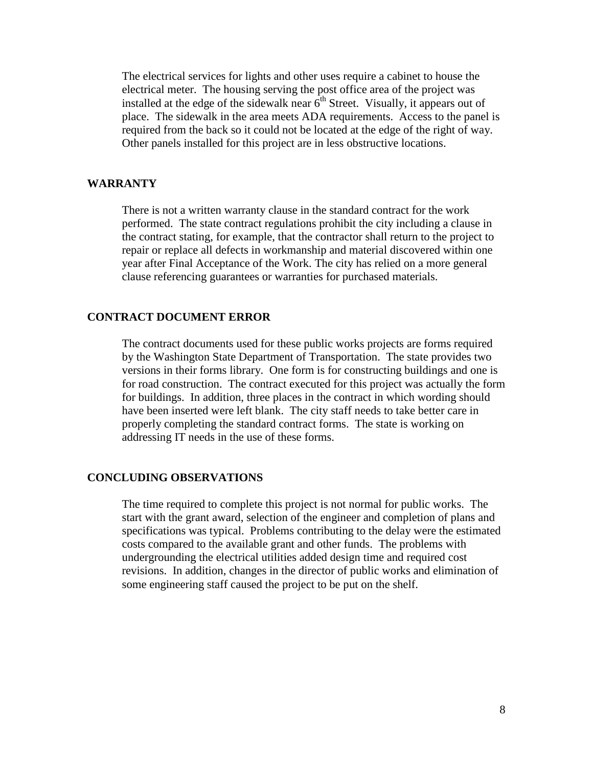The electrical services for lights and other uses require a cabinet to house the electrical meter. The housing serving the post office area of the project was installed at the edge of the sidewalk near  $6<sup>th</sup>$  Street. Visually, it appears out of place. The sidewalk in the area meets ADA requirements. Access to the panel is required from the back so it could not be located at the edge of the right of way. Other panels installed for this project are in less obstructive locations.

## **WARRANTY**

There is not a written warranty clause in the standard contract for the work performed. The state contract regulations prohibit the city including a clause in the contract stating, for example, that the contractor shall return to the project to repair or replace all defects in workmanship and material discovered within one year after Final Acceptance of the Work. The city has relied on a more general clause referencing guarantees or warranties for purchased materials.

## **CONTRACT DOCUMENT ERROR**

The contract documents used for these public works projects are forms required by the Washington State Department of Transportation. The state provides two versions in their forms library. One form is for constructing buildings and one is for road construction. The contract executed for this project was actually the form for buildings. In addition, three places in the contract in which wording should have been inserted were left blank. The city staff needs to take better care in properly completing the standard contract forms. The state is working on addressing IT needs in the use of these forms.

#### **CONCLUDING OBSERVATIONS**

The time required to complete this project is not normal for public works. The start with the grant award, selection of the engineer and completion of plans and specifications was typical. Problems contributing to the delay were the estimated costs compared to the available grant and other funds. The problems with undergrounding the electrical utilities added design time and required cost revisions. In addition, changes in the director of public works and elimination of some engineering staff caused the project to be put on the shelf.